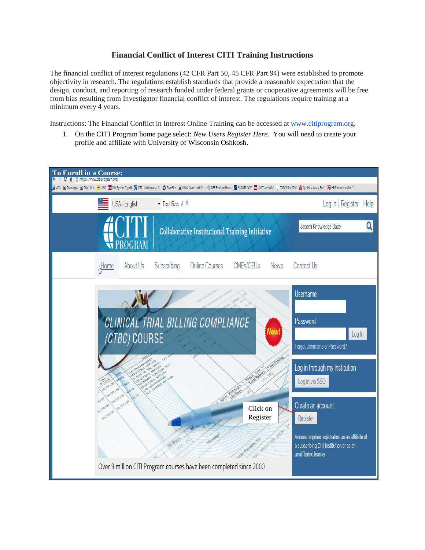## **Financial Conflict of Interest CITI Training Instructions**

The financial conflict of interest regulations (42 CFR Part 50, 45 CFR Part 94) were established to promote objectivity in research. The regulations establish standards that provide a reasonable expectation that the design, conduct, and reporting of research funded under federal grants or cooperative agreements will be free from bias resulting from Investigator financial conflict of interest. The regulations require training at a minimum every 4 years.

Instructions: The Financial Conflict in Interest Online Training can be accessed at [www.citiprogram.org.](http://www.citiprogram.org/)

1. On the CITI Program home page select: *New Users Register Here*. You will need to create your profile and affiliate with University of Wisconsin Oshkosh.

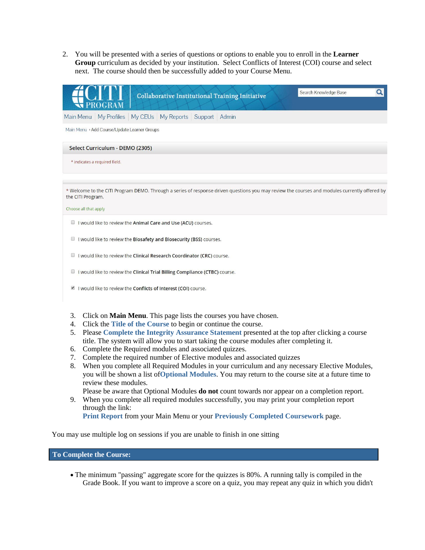2. You will be presented with a series of questions or options to enable you to enroll in the **Learner Group** curriculum as decided by your institution. Select Conflicts of Interest (COI) course and select next. The course should then be successfully added to your Course Menu.



- I would like to review the Conflicts of Interest (COI) course.
- 3. Click on **Main Menu**. This page lists the courses you have chosen.
- 4. Click the **Title of the Course** to begin or continue the course.
- 5. Please **Complete the Integrity Assurance Statement** presented at the top after clicking a course title. The system will allow you to start taking the course modules after completing it.
- 6. Complete the Required modules and associated quizzes.
- 7. Complete the required number of Elective modules and associated quizzes
- 8. When you complete all Required Modules in your curriculum and any necessary Elective Modules, you will be shown a list of**Optional Modules**. You may return to the course site at a future time to review these modules.

Please be aware that Optional Modules **do not** count towards nor appear on a completion report.

9. When you complete all required modules successfully, you may print your completion report through the link:

**Print Report** from your Main Menu or your **Previously Completed Coursework** page.

You may use multiple log on sessions if you are unable to finish in one sitting

**To Complete the Course:**

 The minimum "passing" aggregate score for the quizzes is 80%. A running tally is compiled in the Grade Book. If you want to improve a score on a quiz, you may repeat any quiz in which you didn't